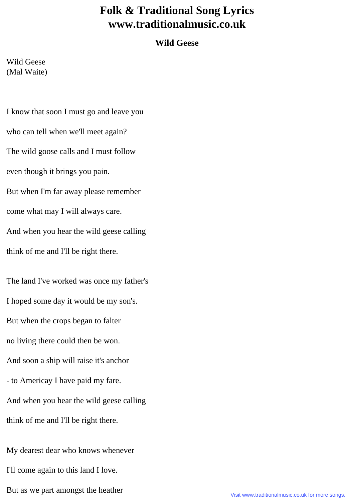## **Folk & Traditional Song Lyrics www.traditionalmusic.co.uk**

## **Wild Geese**

Wild Geese (Mal Waite)

I know that soon I must go and leave you who can tell when we'll meet again? The wild goose calls and I must follow even though it brings you pain. But when I'm far away please remember come what may I will always care. And when you hear the wild geese calling think of me and I'll be right there.

The land I've worked was once my father's I hoped some day it would be my son's. But when the crops began to falter no living there could then be won. And soon a ship will raise it's anchor - to Americay I have paid my fare. And when you hear the wild geese calling think of me and I'll be right there.

My dearest dear who knows whenever I'll come again to this land I love. But as we part amongst the heather